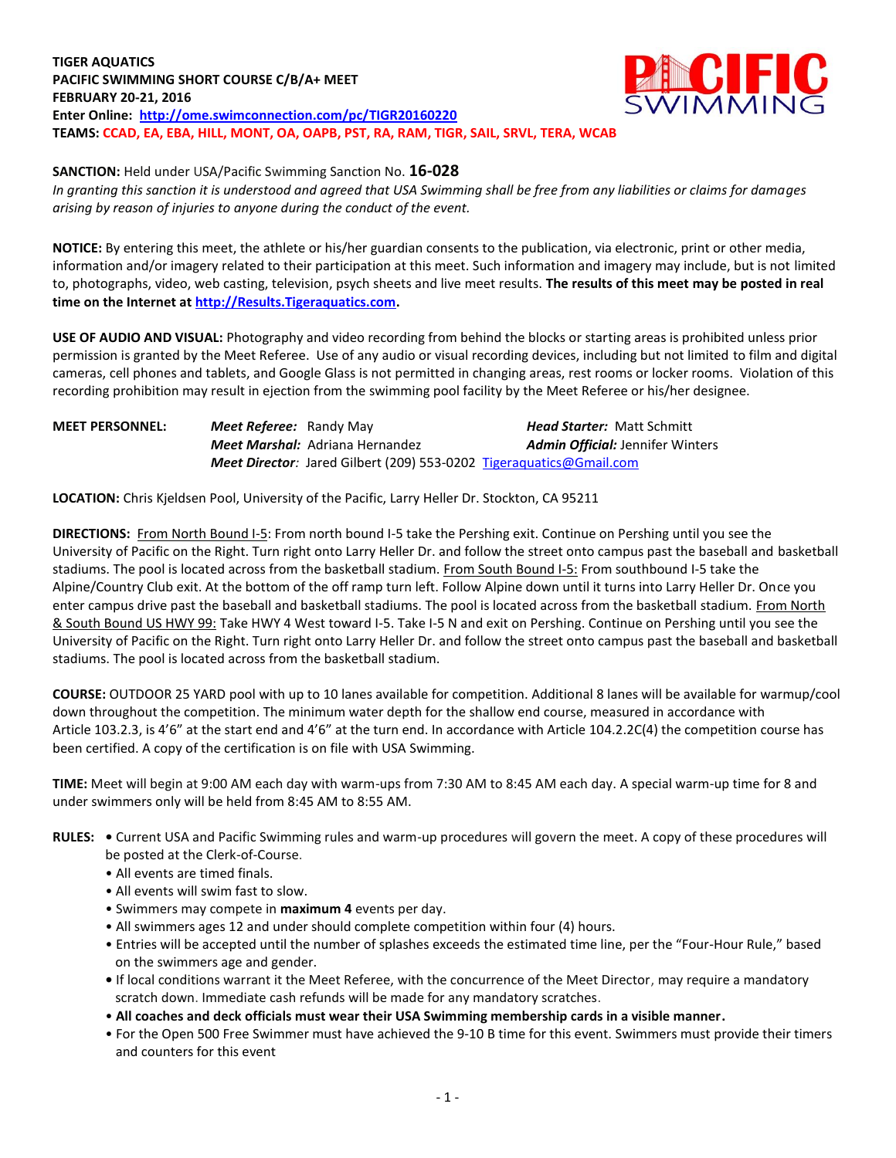**TIGER AQUATICS PACIFIC SWIMMING SHORT COURSE C/B/A+ MEET FEBRUARY 20-21, 2016 Enter Online: <http://ome.swimconnection.com/pc/TIGR20160220> TEAMS: CCAD, EA, EBA, HILL, MONT, OA, OAPB, PST, RA, RAM, TIGR, SAIL, SRVL, TERA, WCAB** 



**SANCTION:** Held under USA/Pacific Swimming Sanction No. **16-028**

*In granting this sanction it is understood and agreed that USA Swimming shall be free from any liabilities or claims for damages arising by reason of injuries to anyone during the conduct of the event.*

**NOTICE:** By entering this meet, the athlete or his/her guardian consents to the publication, via electronic, print or other media, information and/or imagery related to their participation at this meet. Such information and imagery may include, but is not limited to, photographs, video, web casting, television, psych sheets and live meet results. **The results of this meet may be posted in real time on the Internet at [http://Results.Tigeraquatics.com.](http://results.tigeraquatics.com/)**

**USE OF AUDIO AND VISUAL:** Photography and video recording from behind the blocks or starting areas is prohibited unless prior permission is granted by the Meet Referee. Use of any audio or visual recording devices, including but not limited to film and digital cameras, cell phones and tablets, and Google Glass is not permitted in changing areas, rest rooms or locker rooms. Violation of this recording prohibition may result in ejection from the swimming pool facility by the Meet Referee or his/her designee.

## **MEET PERSONNEL:** *Meet Referee:* Randy May*Head Starter:* Matt Schmitt *Meet Marshal:* Adriana Hernandez*Admin Official:* Jennifer Winters *Meet Director:* Jared Gilbert (209) 553-0202 [Tigeraquatics@Gmail.com](mailto:Tigeraquatics@Gmail.com)

**LOCATION:** Chris Kjeldsen Pool, University of the Pacific, Larry Heller Dr. Stockton, CA 95211

**DIRECTIONS:** From North Bound I-5: From north bound I-5 take the Pershing exit. Continue on Pershing until you see the University of Pacific on the Right. Turn right onto Larry Heller Dr. and follow the street onto campus past the baseball and basketball stadiums. The pool is located across from the basketball stadium. From South Bound I-5: From southbound I-5 take the Alpine/Country Club exit. At the bottom of the off ramp turn left. Follow Alpine down until it turns into Larry Heller Dr. Once you enter campus drive past the baseball and basketball stadiums. The pool is located across from the basketball stadium. From North & South Bound US HWY 99: Take HWY 4 West toward I-5. Take I-5 N and exit on Pershing. Continue on Pershing until you see the University of Pacific on the Right. Turn right onto Larry Heller Dr. and follow the street onto campus past the baseball and basketball stadiums. The pool is located across from the basketball stadium.

**COURSE:** OUTDOOR 25 YARD pool with up to 10 lanes available for competition. Additional 8 lanes will be available for warmup/cool down throughout the competition. The minimum water depth for the shallow end course, measured in accordance with Article 103.2.3, is 4'6" at the start end and 4'6" at the turn end. In accordance with Article 104.2.2C(4) the competition course has been certified. A copy of the certification is on file with USA Swimming.

**TIME:** Meet will begin at 9:00 AM each day with warm-ups from 7:30 AM to 8:45 AM each day. A special warm-up time for 8 and under swimmers only will be held from 8:45 AM to 8:55 AM.

- **RULES: •** Current USA and Pacific Swimming rules and warm-up procedures will govern the meet. A copy of these procedures will be posted at the Clerk-of-Course.
	- All events are timed finals.
	- All events will swim fast to slow.
	- Swimmers may compete in **maximum 4** events per day.
	- All swimmers ages 12 and under should complete competition within four (4) hours.
	- Entries will be accepted until the number of splashes exceeds the estimated time line, per the "Four-Hour Rule," based on the swimmers age and gender.
	- **•** If local conditions warrant it the Meet Referee, with the concurrence of the Meet Director, may require a mandatory scratch down. Immediate cash refunds will be made for any mandatory scratches.
	- **All coaches and deck officials must wear their USA Swimming membership cards in a visible manner.**
	- For the Open 500 Free Swimmer must have achieved the 9-10 B time for this event. Swimmers must provide their timers and counters for this event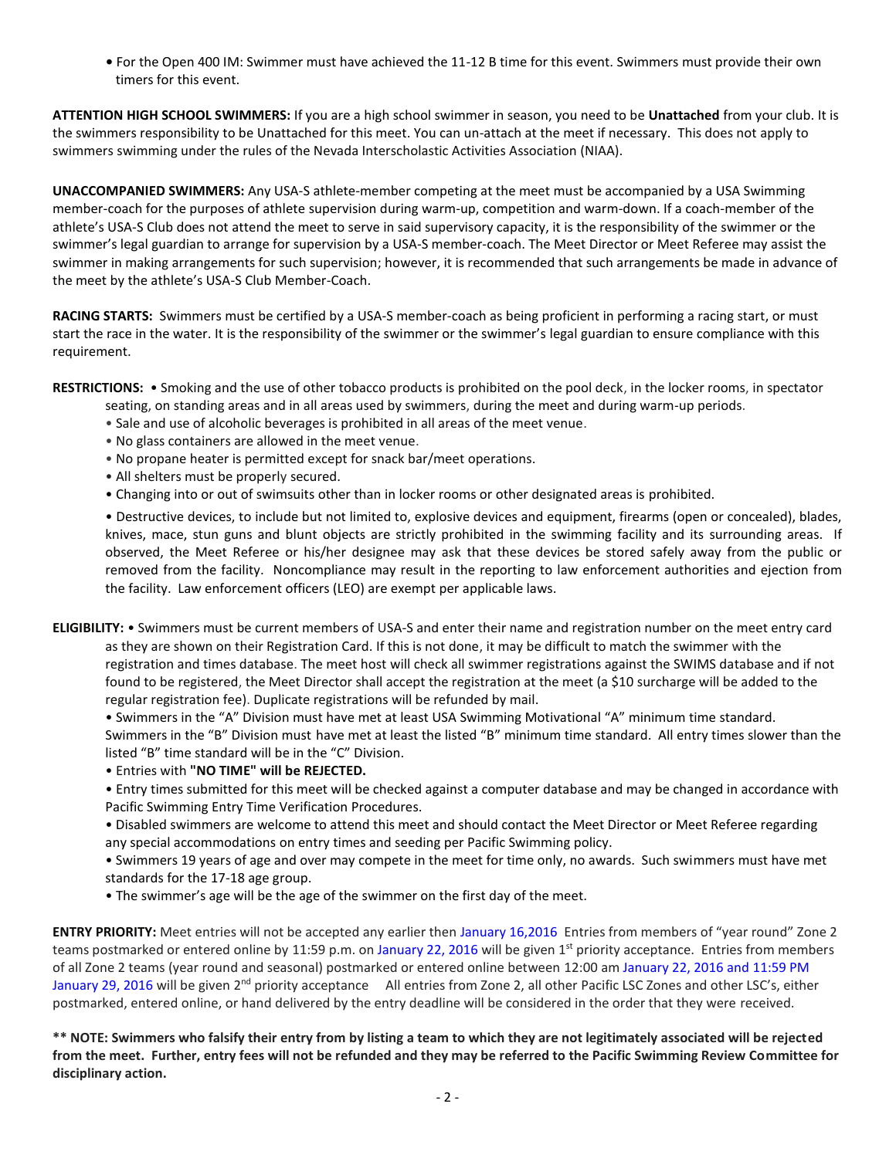**•** For the Open 400 IM: Swimmer must have achieved the 11-12 B time for this event. Swimmers must provide their own timers for this event.

**ATTENTION HIGH SCHOOL SWIMMERS:** If you are a high school swimmer in season, you need to be **Unattached** from your club. It is the swimmers responsibility to be Unattached for this meet. You can un-attach at the meet if necessary. This does not apply to swimmers swimming under the rules of the Nevada Interscholastic Activities Association (NIAA).

**UNACCOMPANIED SWIMMERS:** Any USA-S athlete-member competing at the meet must be accompanied by a USA Swimming member-coach for the purposes of athlete supervision during warm-up, competition and warm-down. If a coach-member of the athlete's USA-S Club does not attend the meet to serve in said supervisory capacity, it is the responsibility of the swimmer or the swimmer's legal guardian to arrange for supervision by a USA-S member-coach. The Meet Director or Meet Referee may assist the swimmer in making arrangements for such supervision; however, it is recommended that such arrangements be made in advance of the meet by the athlete's USA-S Club Member-Coach.

**RACING STARTS:** Swimmers must be certified by a USA-S member-coach as being proficient in performing a racing start, or must start the race in the water. It is the responsibility of the swimmer or the swimmer's legal guardian to ensure compliance with this requirement.

**RESTRICTIONS:** • Smoking and the use of other tobacco products is prohibited on the pool deck, in the locker rooms, in spectator

- seating, on standing areas and in all areas used by swimmers, during the meet and during warm-up periods.
- Sale and use of alcoholic beverages is prohibited in all areas of the meet venue.
- No glass containers are allowed in the meet venue.
- No propane heater is permitted except for snack bar/meet operations.
- All shelters must be properly secured.
- Changing into or out of swimsuits other than in locker rooms or other designated areas is prohibited.

• Destructive devices, to include but not limited to, explosive devices and equipment, firearms (open or concealed), blades, knives, mace, stun guns and blunt objects are strictly prohibited in the swimming facility and its surrounding areas. If observed, the Meet Referee or his/her designee may ask that these devices be stored safely away from the public or removed from the facility. Noncompliance may result in the reporting to law enforcement authorities and ejection from the facility. Law enforcement officers (LEO) are exempt per applicable laws.

**ELIGIBILITY:** • Swimmers must be current members of USA-S and enter their name and registration number on the meet entry card as they are shown on their Registration Card. If this is not done, it may be difficult to match the swimmer with the registration and times database. The meet host will check all swimmer registrations against the SWIMS database and if not found to be registered, the Meet Director shall accept the registration at the meet (a \$10 surcharge will be added to the regular registration fee). Duplicate registrations will be refunded by mail.

• Swimmers in the "A" Division must have met at least USA Swimming Motivational "A" minimum time standard.

Swimmers in the "B" Division must have met at least the listed "B" minimum time standard. All entry times slower than the listed "B" time standard will be in the "C" Division.

• Entries with **"NO TIME" will be REJECTED.**

• Entry times submitted for this meet will be checked against a computer database and may be changed in accordance with Pacific Swimming Entry Time Verification Procedures.

• Disabled swimmers are welcome to attend this meet and should contact the Meet Director or Meet Referee regarding any special accommodations on entry times and seeding per Pacific Swimming policy.

• Swimmers 19 years of age and over may compete in the meet for time only, no awards. Such swimmers must have met standards for the 17-18 age group.

• The swimmer's age will be the age of the swimmer on the first day of the meet.

**ENTRY PRIORITY:** Meet entries will not be accepted any earlier then January 16,2016 Entries from members of "year round" Zone 2 teams postmarked or entered online by 11:59 p.m. on January 22, 2016 will be given 1<sup>st</sup> priority acceptance. Entries from members of all Zone 2 teams (year round and seasonal) postmarked or entered online between 12:00 am January 22, 2016 and 11:59 PM January 29, 2016 will be given 2<sup>nd</sup> priority acceptance All entries from Zone 2, all other Pacific LSC Zones and other LSC's, either postmarked, entered online, or hand delivered by the entry deadline will be considered in the order that they were received.

**\*\* NOTE: Swimmers who falsify their entry from by listing a team to which they are not legitimately associated will be rejected from the meet. Further, entry fees will not be refunded and they may be referred to the Pacific Swimming Review Committee for disciplinary action.**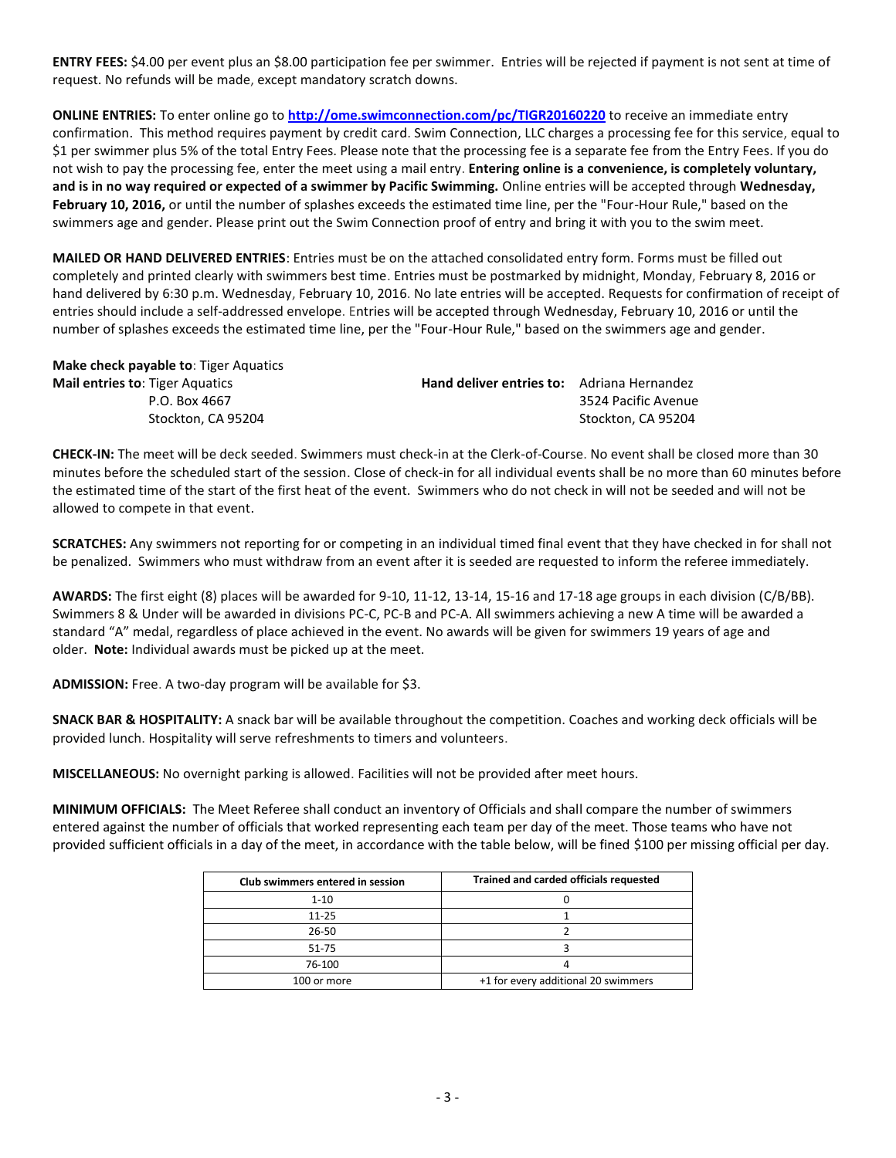**ENTRY FEES:** \$4.00 per event plus an \$8.00 participation fee per swimmer. Entries will be rejected if payment is not sent at time of request. No refunds will be made, except mandatory scratch downs.

**ONLINE ENTRIES:** To enter online go to **<http://ome.swimconnection.com/pc/TIGR20160220>** to receive an immediate entry confirmation. This method requires payment by credit card. Swim Connection, LLC charges a processing fee for this service, equal to \$1 per swimmer plus 5% of the total Entry Fees. Please note that the processing fee is a separate fee from the Entry Fees. If you do not wish to pay the processing fee, enter the meet using a mail entry. **Entering online is a convenience, is completely voluntary, and is in no way required or expected of a swimmer by Pacific Swimming.** Online entries will be accepted through **Wednesday, February 10, 2016,** or until the number of splashes exceeds the estimated time line, per the "Four-Hour Rule," based on the swimmers age and gender. Please print out the Swim Connection proof of entry and bring it with you to the swim meet.

**MAILED OR HAND DELIVERED ENTRIES**: Entries must be on the attached consolidated entry form. Forms must be filled out completely and printed clearly with swimmers best time. Entries must be postmarked by midnight, Monday, February 8, 2016 or hand delivered by 6:30 p.m. Wednesday, February 10, 2016. No late entries will be accepted. Requests for confirmation of receipt of entries should include a self-addressed envelope. Entries will be accepted through Wednesday, February 10, 2016 or until the number of splashes exceeds the estimated time line, per the "Four-Hour Rule," based on the swimmers age and gender.

| Make check payable to: Tiger Aquatics  |                                                   |                     |
|----------------------------------------|---------------------------------------------------|---------------------|
| <b>Mail entries to: Tiger Aquatics</b> | <b>Hand deliver entries to:</b> Adriana Hernandez |                     |
| P.O. Box 4667                          |                                                   | 3524 Pacific Avenue |
| Stockton, CA 95204                     |                                                   | Stockton. CA 95204  |

**CHECK-IN:** The meet will be deck seeded. Swimmers must check-in at the Clerk-of-Course. No event shall be closed more than 30 minutes before the scheduled start of the session. Close of check-in for all individual events shall be no more than 60 minutes before the estimated time of the start of the first heat of the event. Swimmers who do not check in will not be seeded and will not be allowed to compete in that event.

**SCRATCHES:** Any swimmers not reporting for or competing in an individual timed final event that they have checked in for shall not be penalized. Swimmers who must withdraw from an event after it is seeded are requested to inform the referee immediately.

**AWARDS:** The first eight (8) places will be awarded for 9-10, 11-12, 13-14, 15-16 and 17-18 age groups in each division (C/B/BB). Swimmers 8 & Under will be awarded in divisions PC-C, PC-B and PC-A. All swimmers achieving a new A time will be awarded a standard "A" medal, regardless of place achieved in the event. No awards will be given for swimmers 19 years of age and older. **Note:** Individual awards must be picked up at the meet.

**ADMISSION:** Free. A two-day program will be available for \$3.

**SNACK BAR & HOSPITALITY:** A snack bar will be available throughout the competition. Coaches and working deck officials will be provided lunch. Hospitality will serve refreshments to timers and volunteers.

**MISCELLANEOUS:** No overnight parking is allowed. Facilities will not be provided after meet hours.

**MINIMUM OFFICIALS:** The Meet Referee shall conduct an inventory of Officials and shall compare the number of swimmers entered against the number of officials that worked representing each team per day of the meet. Those teams who have not provided sufficient officials in a day of the meet, in accordance with the table below, will be fined \$100 per missing official per day.

| Club swimmers entered in session | Trained and carded officials requested |  |  |  |  |  |
|----------------------------------|----------------------------------------|--|--|--|--|--|
| $1 - 10$                         |                                        |  |  |  |  |  |
| $11 - 25$                        |                                        |  |  |  |  |  |
| 26-50                            |                                        |  |  |  |  |  |
| 51-75                            |                                        |  |  |  |  |  |
| 76-100                           |                                        |  |  |  |  |  |
| 100 or more                      | +1 for every additional 20 swimmers    |  |  |  |  |  |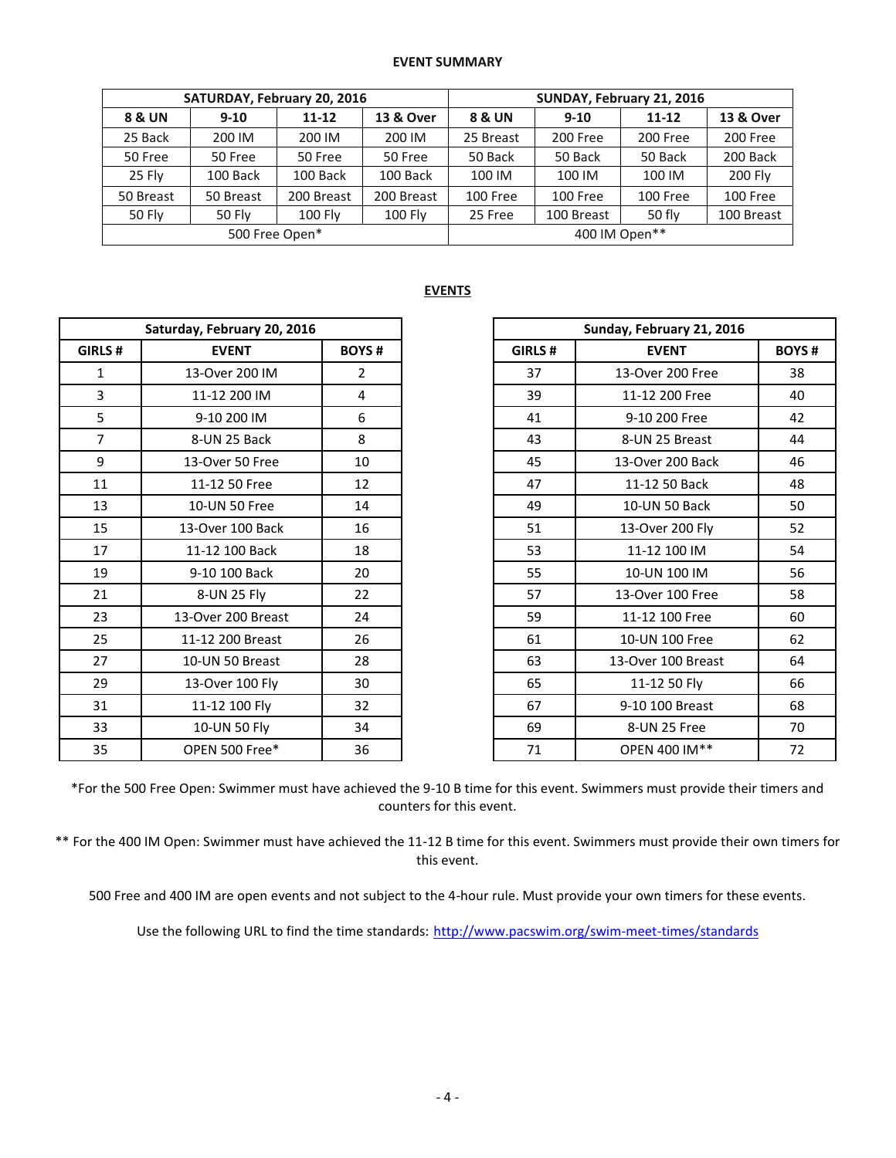## **EVENT SUMMARY**

|               |                | SATURDAY, February 20, 2016 |                | SUNDAY, February 21, 2016 |            |                 |            |  |  |
|---------------|----------------|-----------------------------|----------------|---------------------------|------------|-----------------|------------|--|--|
| 8 & UN        | $9 - 10$       | $11 - 12$                   | 13 & Over      | 8 & UN                    | $9 - 10$   | $11 - 12$       | 13 & Over  |  |  |
| 25 Back       | 200 IM         | 200 IM                      | 200 IM         | 25 Breast                 | 200 Free   | 200 Free        | 200 Free   |  |  |
| 50 Free       | 50 Free        | 50 Free                     | 50 Free        | 50 Back                   | 50 Back    | 50 Back         | 200 Back   |  |  |
| 25 Flv        | 100 Back       | 100 Back                    | 100 Back       | 100 IM                    | 100 IM     | 100 IM          | 200 Fly    |  |  |
| 50 Breast     | 50 Breast      | 200 Breast                  | 200 Breast     | <b>100 Free</b>           | 100 Free   | <b>100 Free</b> | 100 Free   |  |  |
| <b>50 Fly</b> | <b>50 Fly</b>  | 100 Fly                     | <b>100 Fly</b> | 25 Free                   | 100 Breast | 50 fly          | 100 Breast |  |  |
|               | 500 Free Open* |                             |                | 400 IM Open**             |            |                 |            |  |  |

## **EVENTS**

|                | Saturday, February 20, 2016 |                |  |  |
|----------------|-----------------------------|----------------|--|--|
| GIRLS #        | <b>EVENT</b>                | <b>BOYS#</b>   |  |  |
| $\mathbf{1}$   | 13-Over 200 IM              | $\overline{2}$ |  |  |
| 3              | 11-12 200 IM                | 4              |  |  |
| 5              | 9-10 200 IM                 | 6              |  |  |
| $\overline{7}$ | 8-UN 25 Back                | 8              |  |  |
| 9              | 13-Over 50 Free             | 10             |  |  |
| 11             | 11-12 50 Free               | 12             |  |  |
| 13             | 10-UN 50 Free               | 14             |  |  |
| 15             | 13-Over 100 Back            | 16             |  |  |
| 17             | 11-12 100 Back              | 18             |  |  |
| 19             | 9-10 100 Back               | 20             |  |  |
| 21             | 8-UN 25 Fly                 | 22             |  |  |
| 23             | 13-Over 200 Breast          | 24             |  |  |
| 25             | 11-12 200 Breast            | 26             |  |  |
| 27             | 10-UN 50 Breast             | 28             |  |  |
| 29             | 13-Over 100 Fly             | 30             |  |  |
| 31             | 11-12 100 Fly               | 32             |  |  |
| 33             | 10-UN 50 Fly                | 34             |  |  |
| 35             | OPEN 500 Free*              | 36             |  |  |

| Saturday, February 20, 2016 |                    |                | Sunday, February 21, 2016 |                    |              |  |  |  |
|-----------------------------|--------------------|----------------|---------------------------|--------------------|--------------|--|--|--|
| <b>GIRLS #</b>              | <b>EVENT</b>       | <b>BOYS#</b>   | GIRLS#<br><b>EVENT</b>    |                    | <b>BOYS#</b> |  |  |  |
| $\mathbf{1}$                | 13-Over 200 IM     | $\overline{2}$ | 37                        | 13-Over 200 Free   | 38           |  |  |  |
| 3                           | 11-12 200 IM       | 4              | 39                        | 11-12 200 Free     | 40           |  |  |  |
| 5                           | 9-10 200 IM        | 6              | 41                        | 9-10 200 Free      | 42           |  |  |  |
| $\overline{7}$              | 8-UN 25 Back       | 8              | 43                        | 8-UN 25 Breast     | 44           |  |  |  |
| 9                           | 13-Over 50 Free    | 10             | 45                        | 13-Over 200 Back   | 46           |  |  |  |
| 11                          | 11-12 50 Free      | 12             | 47                        | 11-12 50 Back      | 48           |  |  |  |
| 13                          | 10-UN 50 Free      | 14             | 49                        | 10-UN 50 Back      | 50           |  |  |  |
| 15                          | 13-Over 100 Back   | 16             | 51                        | 13-Over 200 Fly    | 52           |  |  |  |
| 17                          | 11-12 100 Back     | 18             | 53                        | 11-12 100 IM       | 54           |  |  |  |
| 19                          | 9-10 100 Back      | 20             | 55                        | 10-UN 100 IM       | 56           |  |  |  |
| 21                          | 8-UN 25 Fly        | 22             | 57                        | 13-Over 100 Free   | 58           |  |  |  |
| 23                          | 13-Over 200 Breast | 24             | 59                        | 11-12 100 Free     | 60           |  |  |  |
| 25                          | 11-12 200 Breast   | 26             | 61                        | 10-UN 100 Free     | 62           |  |  |  |
| 27                          | 10-UN 50 Breast    | 28             | 63                        | 13-Over 100 Breast | 64           |  |  |  |
| 29                          | 13-Over 100 Fly    | 30             | 65                        | 11-12 50 Fly       | 66           |  |  |  |
| 31                          | 11-12 100 Fly      | 32             | 67                        | 9-10 100 Breast    | 68           |  |  |  |
| 33                          | 10-UN 50 Fly       | 34             | 69                        | 8-UN 25 Free       | 70           |  |  |  |
| 35                          | OPEN 500 Free*     | 36             | 71                        | OPEN 400 IM**      | 72           |  |  |  |

\*For the 500 Free Open: Swimmer must have achieved the 9-10 B time for this event. Swimmers must provide their timers and counters for this event.

\*\* For the 400 IM Open: Swimmer must have achieved the 11-12 B time for this event. Swimmers must provide their own timers for this event.

500 Free and 400 IM are open events and not subject to the 4-hour rule. Must provide your own timers for these events.

Use the following URL to find the time standards: <http://www.pacswim.org/swim-meet-times/standards>